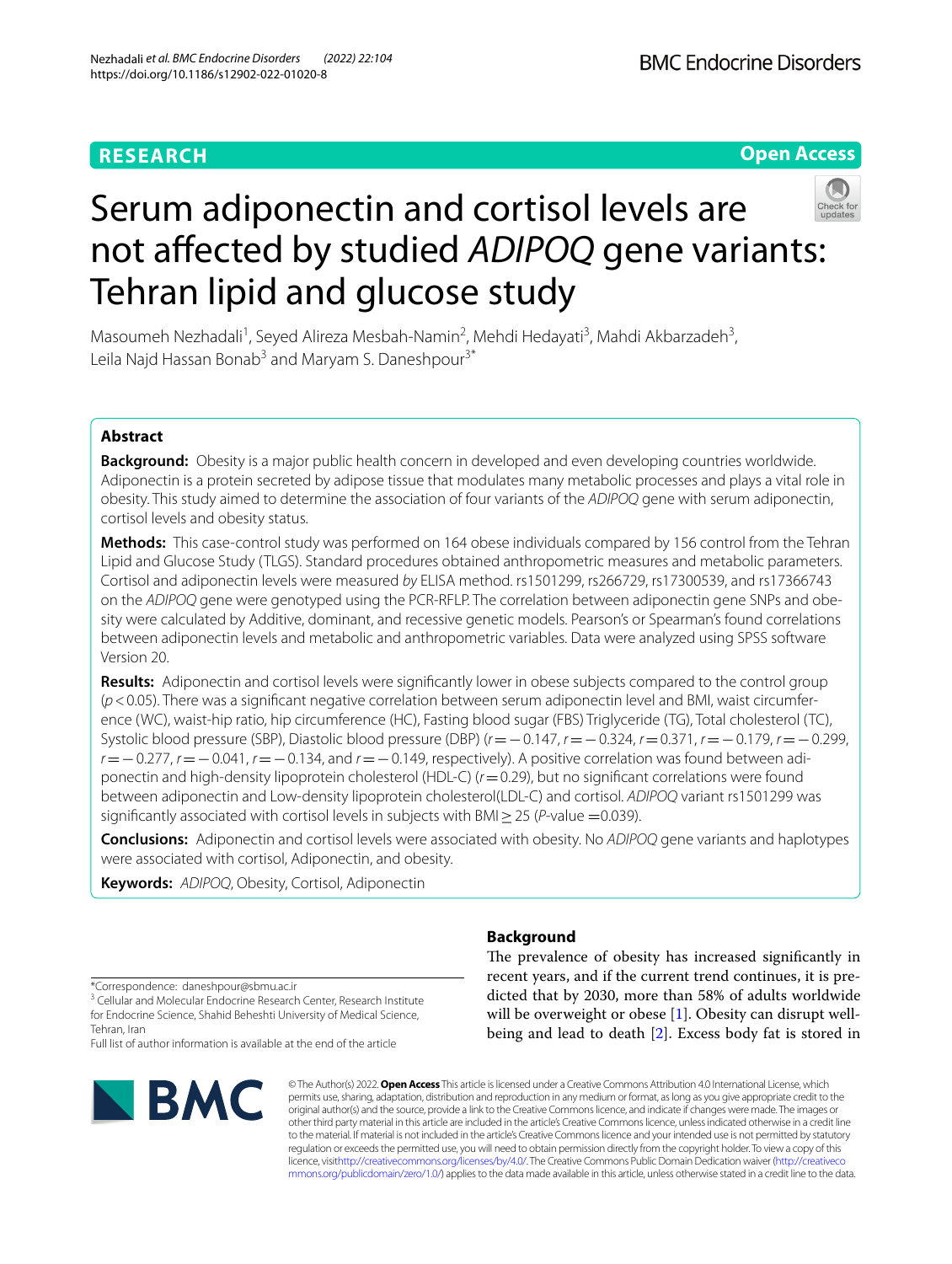# **RESEARCH**

**Open Access**



# Serum adiponectin and cortisol levels are not afected by studied *ADIPOQ* gene variants: Tehran lipid and glucose study

Masoumeh Nezhadali<sup>1</sup>, Seyed Alireza Mesbah-Namin<sup>2</sup>, Mehdi Hedayati<sup>3</sup>, Mahdi Akbarzadeh<sup>3</sup>, Leila Najd Hassan Bonab<sup>3</sup> and Maryam S. Daneshpour<sup>3\*</sup>

# **Abstract**

**Background:** Obesity is a major public health concern in developed and even developing countries worldwide. Adiponectin is a protein secreted by adipose tissue that modulates many metabolic processes and plays a vital role in obesity. This study aimed to determine the association of four variants of the *ADIPOQ* gene with serum adiponectin, cortisol levels and obesity status.

**Methods:** This case-control study was performed on 164 obese individuals compared by 156 control from the Tehran Lipid and Glucose Study (TLGS). Standard procedures obtained anthropometric measures and metabolic parameters. Cortisol and adiponectin levels were measured *by* ELISA method. rs1501299, rs266729, rs17300539, and rs17366743 on the *ADIPOQ* gene were genotyped using the PCR-RFLP. The correlation between adiponectin gene SNPs and obe‑ sity were calculated by Additive, dominant, and recessive genetic models. Pearson's or Spearman's found correlations between adiponectin levels and metabolic and anthropometric variables. Data were analyzed using SPSS software Version 20.

**Results:** Adiponectin and cortisol levels were signifcantly lower in obese subjects compared to the control group ( $p$ <0.05). There was a significant negative correlation between serum adiponectin level and BMI, waist circumference (WC), waist-hip ratio, hip circumference (HC), Fasting blood sugar (FBS) Triglyceride (TG), Total cholesterol (TC), Systolic blood pressure (SBP), Diastolic blood pressure (DBP) (*r*=−0.147, *r*=−0.324, *r*=0.371, *r*=−0.179, *r*=−0.299, *r* = −0.277, *r* = −0.041, *r* = −0.134, and *r* = −0.149, respectively). A positive correlation was found between adiponectin and high-density lipoprotein cholesterol (HDL-C) (*r*=0.29), but no signifcant correlations were found between adiponectin and Low-density lipoprotein cholesterol(LDL-C) and cortisol. *ADIPOQ* variant rs1501299 was significantly associated with cortisol levels in subjects with BMI $\geq$ 25 (*P*-value =0.039).

**Conclusions:** Adiponectin and cortisol levels were associated with obesity. No *ADIPOQ* gene variants and haplotypes were associated with cortisol, Adiponectin, and obesity.

**Keywords:** *ADIPOQ*, Obesity, Cortisol, Adiponectin

\*Correspondence: daneshpour@sbmu.ac.ir

<sup>3</sup> Cellular and Molecular Endocrine Research Center, Research Institute for Endocrine Science, Shahid Beheshti University of Medical Science, Tehran, Iran

Full list of author information is available at the end of the article



# **Background**

The prevalence of obesity has increased significantly in recent years, and if the current trend continues, it is predicted that by 2030, more than 58% of adults worldwide will be overweight or obese [[1\]](#page-8-0). Obesity can disrupt wellbeing and lead to death [\[2](#page-8-1)]. Excess body fat is stored in

© The Author(s) 2022. **Open Access** This article is licensed under a Creative Commons Attribution 4.0 International License, which permits use, sharing, adaptation, distribution and reproduction in any medium or format, as long as you give appropriate credit to the original author(s) and the source, provide a link to the Creative Commons licence, and indicate if changes were made. The images or other third party material in this article are included in the article's Creative Commons licence, unless indicated otherwise in a credit line to the material. If material is not included in the article's Creative Commons licence and your intended use is not permitted by statutory regulation or exceeds the permitted use, you will need to obtain permission directly from the copyright holder. To view a copy of this licence, visi[thttp://creativecommons.org/licenses/by/4.0/](http://creativecommons.org/licenses/by/4.0/). The Creative Commons Public Domain Dedication waiver [\(http://creativeco](http://creativecommons.org/publicdomain/zero/1.0/) [mmons.org/publicdomain/zero/1.0/](http://creativecommons.org/publicdomain/zero/1.0/)) applies to the data made available in this article, unless otherwise stated in a credit line to the data.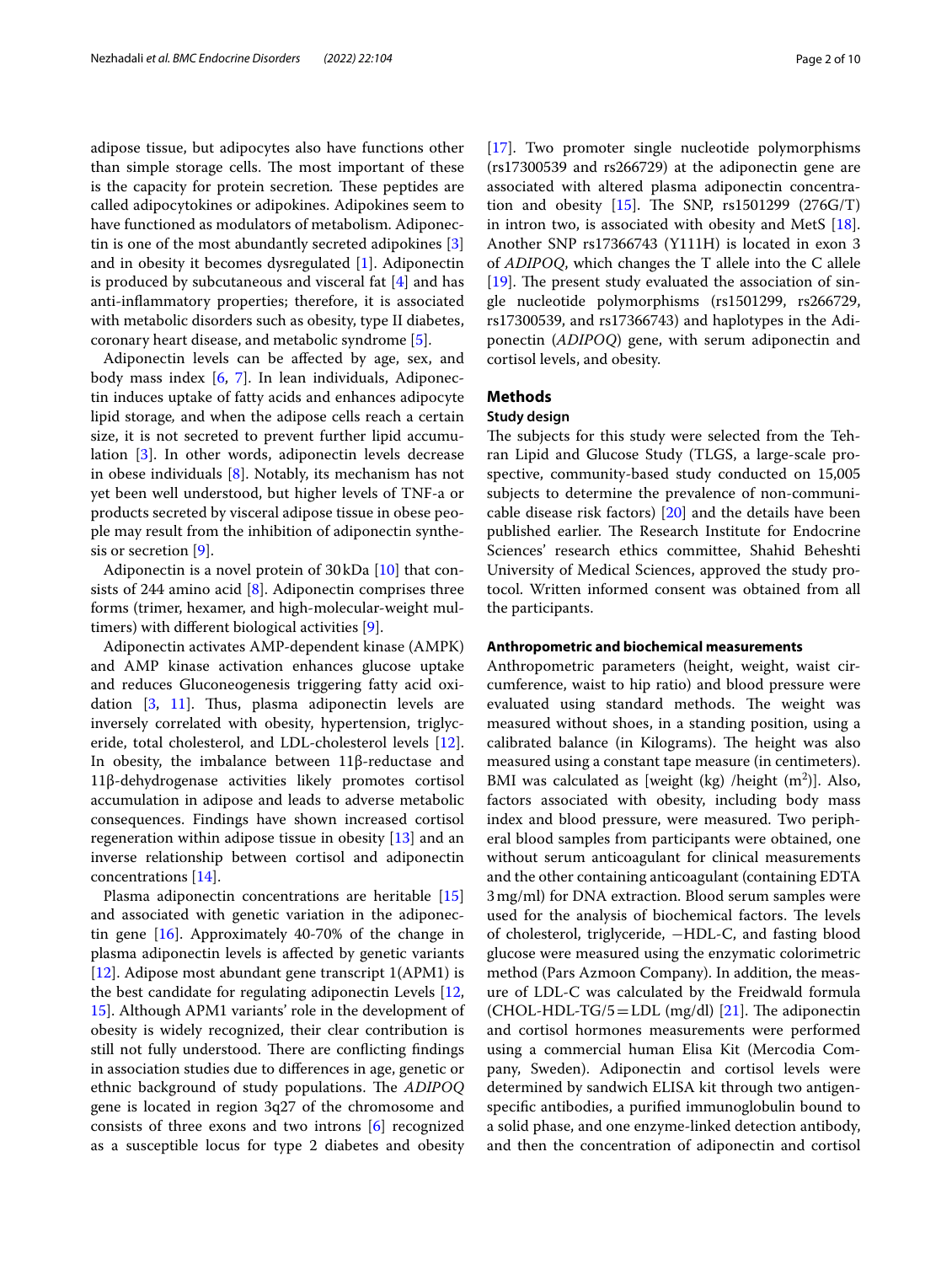adipose tissue, but adipocytes also have functions other than simple storage cells. The most important of these is the capacity for protein secretion. These peptides are called adipocytokines or adipokines. Adipokines seem to have functioned as modulators of metabolism. Adiponectin is one of the most abundantly secreted adipokines [\[3](#page-8-2)] and in obesity it becomes dysregulated [[1\]](#page-8-0). Adiponectin is produced by subcutaneous and visceral fat [[4\]](#page-8-3) and has anti-infammatory properties; therefore, it is associated with metabolic disorders such as obesity, type II diabetes, coronary heart disease, and metabolic syndrome [[5\]](#page-8-4).

Adiponectin levels can be afected by age, sex, and body mass index [[6,](#page-8-5) [7](#page-8-6)]. In lean individuals, Adiponectin induces uptake of fatty acids and enhances adipocyte lipid storage*,* and when the adipose cells reach a certain size, it is not secreted to prevent further lipid accumulation [[3\]](#page-8-2). In other words, adiponectin levels decrease in obese individuals [\[8](#page-8-7)]. Notably, its mechanism has not yet been well understood, but higher levels of TNF-a or products secreted by visceral adipose tissue in obese people may result from the inhibition of adiponectin synthesis or secretion [[9\]](#page-8-8).

Adiponectin is a novel protein of 30kDa [\[10](#page-8-9)] that consists of 244 amino acid  $[8]$  $[8]$ . Adiponectin comprises three forms (trimer, hexamer, and high-molecular-weight multimers) with diferent biological activities [[9\]](#page-8-8).

Adiponectin activates AMP-dependent kinase (AMPK) and AMP kinase activation enhances glucose uptake and reduces Gluconeogenesis triggering fatty acid oxidation  $[3, 11]$  $[3, 11]$  $[3, 11]$  $[3, 11]$  $[3, 11]$ . Thus, plasma adiponectin levels are inversely correlated with obesity, hypertension, triglyceride, total cholesterol, and LDL-cholesterol levels [\[12](#page-8-11)]. In obesity, the imbalance between 11β-reductase and 11β-dehydrogenase activities likely promotes cortisol accumulation in adipose and leads to adverse metabolic consequences. Findings have shown increased cortisol regeneration within adipose tissue in obesity [[13\]](#page-8-12) and an inverse relationship between cortisol and adiponectin concentrations [[14\]](#page-8-13).

Plasma adiponectin concentrations are heritable [[15](#page-8-14)] and associated with genetic variation in the adiponectin gene [\[16](#page-8-15)]. Approximately 40-70% of the change in plasma adiponectin levels is afected by genetic variants [[12\]](#page-8-11). Adipose most abundant gene transcript 1(APM1) is the best candidate for regulating adiponectin Levels [\[12](#page-8-11), [15\]](#page-8-14). Although APM1 variants' role in the development of obesity is widely recognized, their clear contribution is still not fully understood. There are conflicting findings in association studies due to diferences in age, genetic or ethnic background of study populations. The **ADIPOQ** gene is located in region 3q27 of the chromosome and consists of three exons and two introns [\[6](#page-8-5)] recognized as a susceptible locus for type 2 diabetes and obesity [[17\]](#page-8-16). Two promoter single nucleotide polymorphisms (rs17300539 and rs266729) at the adiponectin gene are associated with altered plasma adiponectin concentration and obesity  $[15]$  $[15]$  $[15]$ . The SNP, rs1501299  $(276G/T)$ in intron two, is associated with obesity and MetS [\[18](#page-8-17)]. Another SNP rs17366743 (Y111H) is located in exon 3 of *ADIPOQ*, which changes the T allele into the C allele  $[19]$  $[19]$ . The present study evaluated the association of single nucleotide polymorphisms (rs1501299, rs266729, rs17300539, and rs17366743) and haplotypes in the Adiponectin (*ADIPOQ*) gene, with serum adiponectin and cortisol levels, and obesity.

# **Methods**

# **Study design**

The subjects for this study were selected from the Tehran Lipid and Glucose Study (TLGS, a large-scale prospective, community-based study conducted on 15,005 subjects to determine the prevalence of non-communicable disease risk factors)  $[20]$  $[20]$  and the details have been published earlier. The Research Institute for Endocrine Sciences' research ethics committee, Shahid Beheshti University of Medical Sciences, approved the study protocol. Written informed consent was obtained from all the participants.

#### **Anthropometric and biochemical measurements**

Anthropometric parameters (height, weight, waist circumference, waist to hip ratio) and blood pressure were evaluated using standard methods. The weight was measured without shoes, in a standing position, using a calibrated balance (in Kilograms). The height was also measured using a constant tape measure (in centimeters). BMI was calculated as [weight (kg) /height  $(m^2)$ ]. Also, factors associated with obesity, including body mass index and blood pressure, were measured. Two peripheral blood samples from participants were obtained, one without serum anticoagulant for clinical measurements and the other containing anticoagulant (containing EDTA 3mg/ml) for DNA extraction. Blood serum samples were used for the analysis of biochemical factors. The levels of cholesterol, triglyceride, −HDL-C, and fasting blood glucose were measured using the enzymatic colorimetric method (Pars Azmoon Company). In addition, the measure of LDL-C was calculated by the Freidwald formula (CHOL-HDL-TG/5 = LDL (mg/dl) [\[21\]](#page-8-20). The adiponectin and cortisol hormones measurements were performed using a commercial human Elisa Kit (Mercodia Company, Sweden). Adiponectin and cortisol levels were determined by sandwich ELISA kit through two antigenspecifc antibodies, a purifed immunoglobulin bound to a solid phase, and one enzyme-linked detection antibody, and then the concentration of adiponectin and cortisol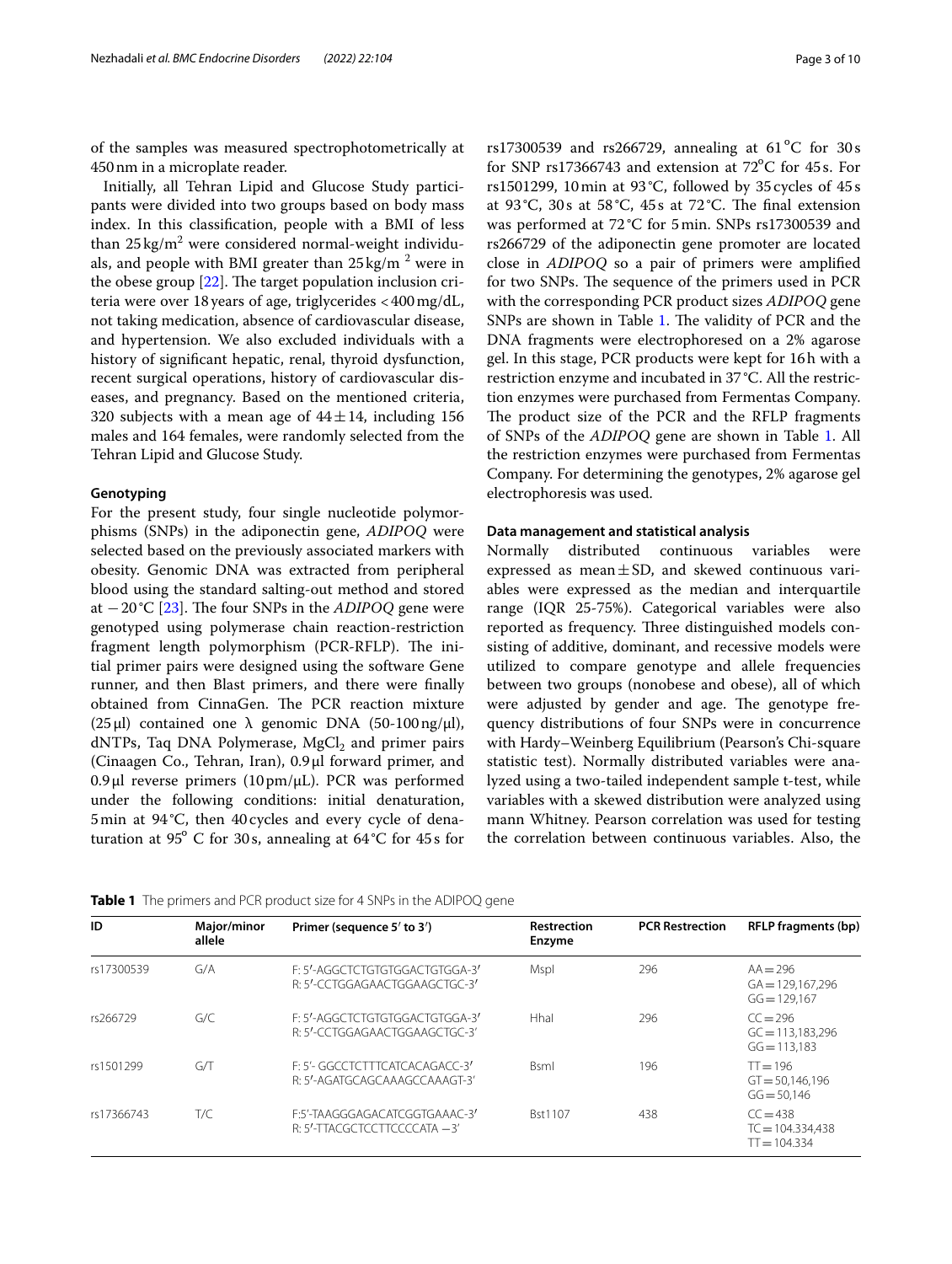of the samples was measured spectrophotometrically at 450nm in a microplate reader.

Initially, all Tehran Lipid and Glucose Study participants were divided into two groups based on body mass index. In this classifcation, people with a BMI of less than  $25\,\mathrm{kg/m^2}$  were considered normal-weight individuals, and people with BMI greater than  $25\,\mathrm{kg/m}$   $^2$  were in the obese group  $[22]$  $[22]$  $[22]$ . The target population inclusion criteria were over 18years of age, triglycerides <400mg/dL, not taking medication, absence of cardiovascular disease, and hypertension. We also excluded individuals with a history of signifcant hepatic, renal, thyroid dysfunction, recent surgical operations, history of cardiovascular diseases, and pregnancy. Based on the mentioned criteria, 320 subjects with a mean age of  $44 \pm 14$ , including 156 males and 164 females, were randomly selected from the Tehran Lipid and Glucose Study.

# **Genotyping**

For the present study, four single nucleotide polymorphisms (SNPs) in the adiponectin gene, *ADIPOQ* were selected based on the previously associated markers with obesity. Genomic DNA was extracted from peripheral blood using the standard salting-out method and stored at −20°C [\[23](#page-8-22)]. The four SNPs in the *ADIPOQ* gene were genotyped using polymerase chain reaction-restriction fragment length polymorphism (PCR-RFLP). The initial primer pairs were designed using the software Gene runner, and then Blast primers, and there were fnally obtained from CinnaGen. The PCR reaction mixture ( $25 \mu$ l) contained one  $\lambda$  genomic DNA ( $50-100 \text{ ng}/\mu$ l), dNTPs, Taq DNA Polymerase, MgCl<sub>2</sub> and primer pairs (Cinaagen Co., Tehran, Iran), 0.9μl forward primer, and 0.9μl reverse primers (10pm/μL). PCR was performed under the following conditions: initial denaturation, 5min at 94 °C, then 40 cycles and every cycle of denaturation at 95 $^{\circ}$  C for 30s, annealing at 64 $^{\circ}$ C for 45s for rs17300539 and rs266729, annealing at  $61^{\circ}$ C for 30s for SNP rs17366743 and extension at  $72^{\circ}$ C for 45s. For rs1501299, 10min at 93 °C, followed by 35 cycles of 45 s at 93 °C, 30s at 58 °C, 45s at 72 °C. The final extension was performed at 72°C for 5min. SNPs rs17300539 and rs266729 of the adiponectin gene promoter are located close in *ADIPOQ* so a pair of primers were amplifed for two SNPs. The sequence of the primers used in PCR with the corresponding PCR product sizes *ADIPOQ* gene SNPs are shown in Table [1.](#page-2-0) The validity of PCR and the DNA fragments were electrophoresed on a 2% agarose gel. In this stage, PCR products were kept for 16h with a restriction enzyme and incubated in 37°C. All the restriction enzymes were purchased from Fermentas Company. The product size of the PCR and the RFLP fragments of SNPs of the *ADIPOQ* gene are shown in Table [1.](#page-2-0) All the restriction enzymes were purchased from Fermentas Company. For determining the genotypes, 2% agarose gel electrophoresis was used.

# **Data management and statistical analysis**

Normally distributed continuous variables were expressed as mean $\pm$ SD, and skewed continuous variables were expressed as the median and interquartile range (IQR 25-75%). Categorical variables were also reported as frequency. Three distinguished models consisting of additive, dominant, and recessive models were utilized to compare genotype and allele frequencies between two groups (nonobese and obese), all of which were adjusted by gender and age. The genotype frequency distributions of four SNPs were in concurrence with Hardy–Weinberg Equilibrium (Pearson's Chi-square statistic test). Normally distributed variables were analyzed using a two-tailed independent sample t-test, while variables with a skewed distribution were analyzed using mann Whitney. Pearson correlation was used for testing the correlation between continuous variables. Also, the

| ID         | Major/minor<br>allele | Primer (sequence 5' to 3')                                      | <b>Restrection</b><br>Enzyme | <b>PCR Restrection</b> | <b>RFLP</b> fragments (bp)                         |
|------------|-----------------------|-----------------------------------------------------------------|------------------------------|------------------------|----------------------------------------------------|
| rs17300539 | G/A                   | F: 5'-AGGCTCTGTGTGGACTGTGGA-3'<br>R: 5'-CCTGGAGAACTGGAAGCTGC-3' | Mspl                         | 296                    | $AA = 296$<br>$GA = 129.167.296$<br>$GG = 129.167$ |
| rs266729   | G/C                   | F: 5'-AGGCTCTGTGTGGACTGTGGA-3'<br>R: 5'-CCTGGAGAACTGGAAGCTGC-3' | Hhal                         | 296                    | $CC = 296$<br>$GC = 113.183.296$<br>$GG = 113.183$ |
| rs1501299  | GЛ                    | E: 5'- GGCCTCTTTCATCACAGACC-3'<br>R: 5'-AGATGCAGCAAAGCCAAAGT-3' | <b>B</b> sml                 | 196                    | $T = 196$<br>$GT = 50,146,196$<br>$GG = 50.146$    |
| rs17366743 | T/C                   | F:5'-TAAGGGAGACATCGGTGAAAC-3'<br>R: 5'-TTACGCTCCTTCCCCATA -3'   | Bst1107                      | 438                    | $CC = 438$<br>$TC = 104.334,438$<br>$TT = 104.334$ |

<span id="page-2-0"></span>**Table 1** The primers and PCR product size for 4 SNPs in the ADIPOQ gene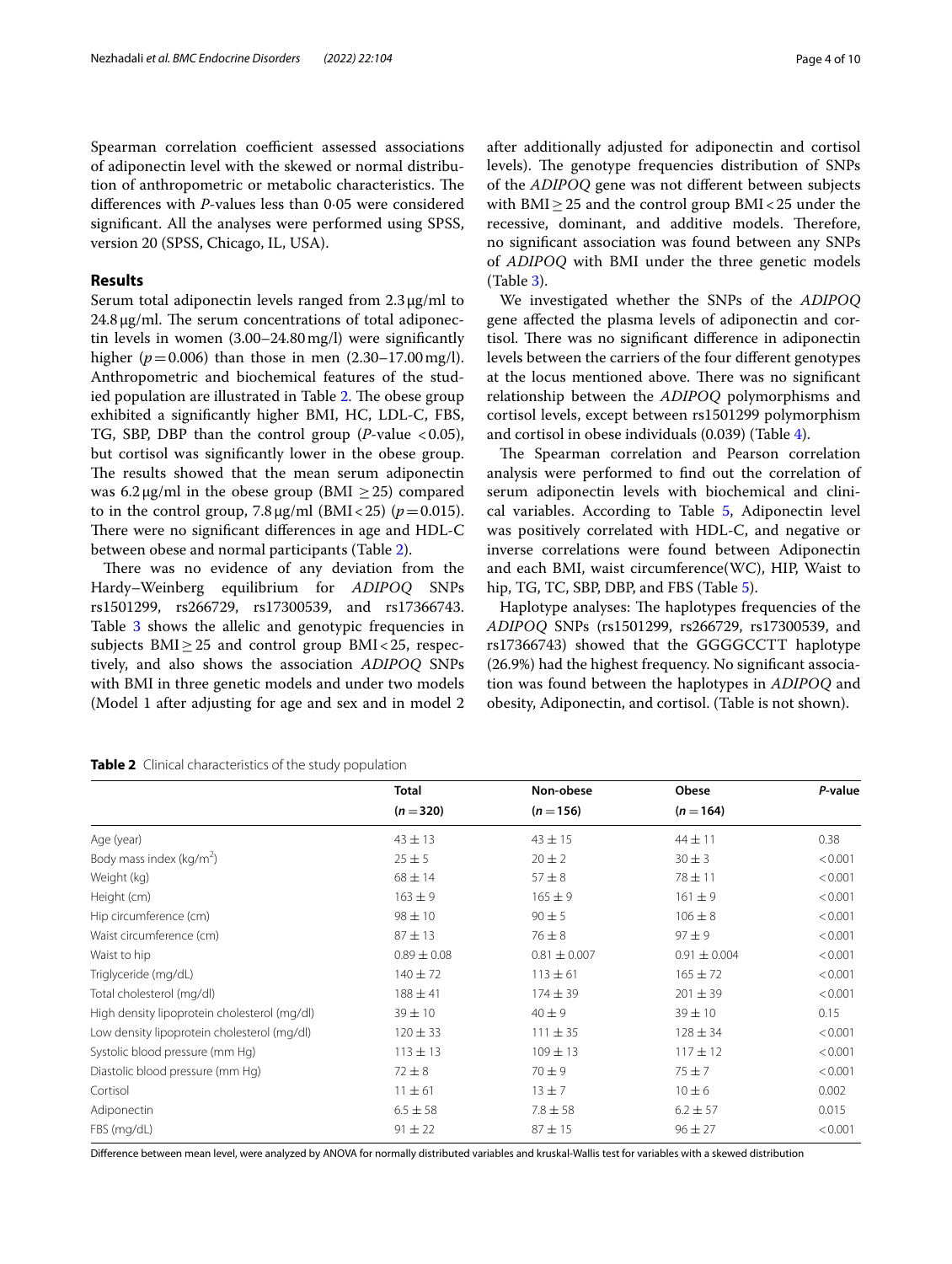Spearman correlation coefficient assessed associations of adiponectin level with the skewed or normal distribution of anthropometric or metabolic characteristics. The diferences with *P*-values less than 0·05 were considered

signifcant. All the analyses were performed using SPSS,

# **Results**

Serum total adiponectin levels ranged from 2.3μg/ml to  $24.8 \,\mathrm{\upmu}\mathrm{g}/\mathrm{ml}$ . The serum concentrations of total adiponectin levels in women (3.00–24.80mg/l) were signifcantly higher ( $p = 0.006$ ) than those in men (2.30–17.00 mg/l). Anthropometric and biochemical features of the stud-ied population are illustrated in Table [2.](#page-3-0) The obese group exhibited a signifcantly higher BMI, HC, LDL-C, FBS, TG, SBP, DBP than the control group  $(P$ -value <0.05), but cortisol was signifcantly lower in the obese group. The results showed that the mean serum adiponectin was  $6.2 \mu$ g/ml in the obese group (BMI > 25) compared to in the control group,  $7.8 \mu g/ml$  (BMI<25) ( $p = 0.015$ ). There were no significant differences in age and HDL-C between obese and normal participants (Table [2\)](#page-3-0).

There was no evidence of any deviation from the Hardy–Weinberg equilibrium for *ADIPOQ* SNPs rs1501299, rs266729, rs17300539, and rs17366743. Table [3](#page-4-0) shows the allelic and genotypic frequencies in subjects  $BMI \geq 25$  and control group  $BMI < 25$ , respectively, and also shows the association *ADIPOQ* SNPs with BMI in three genetic models and under two models (Model 1 after adjusting for age and sex and in model 2 after additionally adjusted for adiponectin and cortisol levels). The genotype frequencies distribution of SNPs of the *ADIPOQ* gene was not diferent between subjects with BMI $\geq$  25 and the control group BMI $<$  25 under the recessive, dominant, and additive models. Therefore, no signifcant association was found between any SNPs of *ADIPOQ* with BMI under the three genetic models (Table [3\)](#page-4-0).

We investigated whether the SNPs of the *ADIPOQ* gene afected the plasma levels of adiponectin and cortisol. There was no significant difference in adiponectin levels between the carriers of the four diferent genotypes at the locus mentioned above. There was no significant relationship between the *ADIPOQ* polymorphisms and cortisol levels, except between rs1501299 polymorphism and cortisol in obese individuals (0.039) (Table [4\)](#page-5-0).

The Spearman correlation and Pearson correlation analysis were performed to fnd out the correlation of serum adiponectin levels with biochemical and clinical variables. According to Table [5,](#page-5-1) Adiponectin level was positively correlated with HDL-C, and negative or inverse correlations were found between Adiponectin and each BMI, waist circumference(WC), HIP, Waist to hip, TG, TC, SBP, DBP, and FBS (Table [5](#page-5-1)).

Haplotype analyses: The haplotypes frequencies of the *ADIPOQ* SNPs (rs1501299, rs266729, rs17300539, and rs17366743) showed that the GGGGCCTT haplotype (26.9%) had the highest frequency. No signifcant association was found between the haplotypes in *ADIPOQ* and obesity, Adiponectin, and cortisol. (Table is not shown).

**Total Non-obese Obese** *P***-value**

 $(n = 320)$   $(n = 156)$   $(n = 164)$ 

| prosecute pressure (mm mg/ | ---       | ---<br>the contract of the contract of the contract of the contract of the contract of |          |
|----------------------------|-----------|----------------------------------------------------------------------------------------|----------|
| Cortisol                   | $11 + 61$ |                                                                                        | $10 + 6$ |

FBS (mg/dL)  $91 \pm 22$   $87 \pm 15$   $96 \pm 27$   $< 0.001$ 

Diference between mean level, were analyzed by ANOVA for normally distributed variables and kruskal-Wallis test for variables with a skewed distribution

<span id="page-3-0"></span>

| Nezhadali et al. BMC Endocrine Disorders | (2022) 22:104 | Page 4 of 10 |
|------------------------------------------|---------------|--------------|
|------------------------------------------|---------------|--------------|

version 20 (SPSS, Chicago, IL, USA).

| Age (year)                                   | $43 \pm 13$     | $43 \pm 15$      | $44 \pm 11$      | 0.38    |
|----------------------------------------------|-----------------|------------------|------------------|---------|
| Body mass index (kg/m <sup>2</sup> )         | $25 \pm 5$      | $20 \pm 2$       | $30 \pm 3$       | < 0.001 |
| Weight (kg)                                  | $68 \pm 14$     | $57 + 8$         | $78 \pm 11$      | < 0.001 |
| Height (cm)                                  | $163 + 9$       | $165 \pm 9$      | $161 \pm 9$      | < 0.001 |
| Hip circumference (cm)                       | $98 \pm 10$     | $90 + 5$         | $106 \pm 8$      | < 0.001 |
| Waist circumference (cm)                     | $87 + 13$       | $76 \pm 8$       | $97 + 9$         | < 0.001 |
| Waist to hip                                 | $0.89 \pm 0.08$ | $0.81 \pm 0.007$ | $0.91 \pm 0.004$ | < 0.001 |
| Triglyceride (mg/dL)                         | $140 \pm 72$    | $113 \pm 61$     | $165 \pm 72$     | < 0.001 |
| Total cholesterol (mg/dl)                    | $188 + 41$      | $174 \pm 39$     | $201 \pm 39$     | < 0.001 |
| High density lipoprotein cholesterol (mg/dl) | $39 \pm 10$     | $40 + 9$         | $39 \pm 10$      | 0.15    |
| Low density lipoprotein cholesterol (mg/dl)  | $120 \pm 33$    | $111 \pm 35$     | $128 \pm 34$     | < 0.001 |
| Systolic blood pressure (mm Hg)              | $113 \pm 13$    | $109 \pm 13$     | $117 \pm 12$     | < 0.001 |
| Diastolic blood pressure (mm Hg)             | $72 \pm 8$      | $70 + 9$         | $75 + 7$         | < 0.001 |
| Cortisol                                     | $11 \pm 61$     | $13 \pm 7$       | $10 \pm 6$       | 0.002   |
| Adiponectin                                  | $6.5 \pm 58$    | $7.8 \pm 58$     | $6.2 \pm 57$     | 0.015   |
|                                              |                 |                  |                  |         |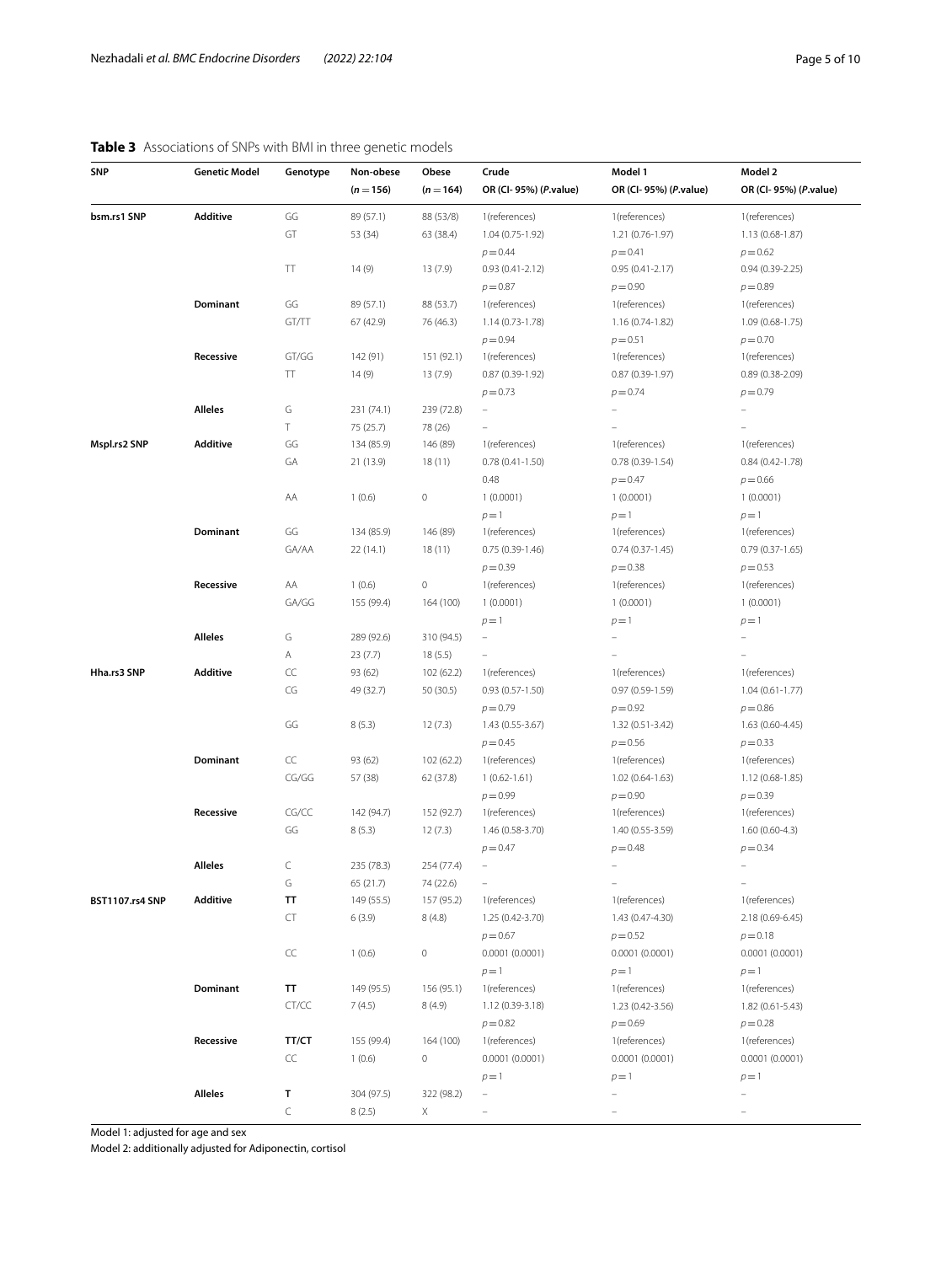# <span id="page-4-0"></span>**Table 3** Associations of SNPs with BMI in three genetic models

| SNP                    | <b>Genetic Model</b> | Genotype         | Non-obese<br>$(n = 156)$ | Obese<br>$(n = 164)$ | Crude<br>OR (CI-95%) (P.value) | Model 1<br>OR (CI-95%) (P.value) | Model 2<br>OR (CI-95%) (P.value) |
|------------------------|----------------------|------------------|--------------------------|----------------------|--------------------------------|----------------------------------|----------------------------------|
| bsm.rs1 SNP            | Additive             | GG               | 89 (57.1)                | 88 (53/8)            | 1(references)                  | 1(references)                    | 1(references)                    |
|                        |                      | GT               | 53 (34)                  | 63 (38.4)            | 1.04 (0.75-1.92)               | 1.21 (0.76-1.97)                 | $1.13(0.68-1.87)$                |
|                        |                      |                  |                          |                      | $p = 0.44$                     | $p = 0.41$                       | $p = 0.62$                       |
|                        |                      | TΤ               | 14(9)                    | 13 (7.9)             | $0.93(0.41 - 2.12)$            | $0.95(0.41 - 2.17)$              | $0.94(0.39 - 2.25)$              |
|                        |                      |                  |                          |                      | $p = 0.87$                     | $p = 0.90$                       | $p = 0.89$                       |
|                        | Dominant             | GG               | 89 (57.1)                | 88 (53.7)            | 1(references)                  | 1(references)                    | 1(references)                    |
|                        |                      | GT/TT            | 67 (42.9)                | 76 (46.3)            | 1.14 (0.73-1.78)               | 1.16 (0.74-1.82)                 | $1.09(0.68-1.75)$                |
|                        |                      |                  |                          |                      | $p = 0.94$                     | $p = 0.51$                       | $p = 0.70$                       |
|                        | Recessive            | GT/GG            | 142 (91)                 | 151 (92.1)           | 1(references)                  | 1(references)                    | 1(references)                    |
|                        |                      | TT               | 14 (9)                   | 13 (7.9)             | $0.87(0.39-1.92)$              | $0.87(0.39-1.97)$                | $0.89(0.38-2.09)$                |
|                        |                      |                  |                          |                      | $p = 0.73$                     | $p = 0.74$                       | $p = 0.79$                       |
|                        | <b>Alleles</b>       | G                | 231 (74.1)               | 239 (72.8)           | $\overline{\phantom{0}}$       | $\qquad \qquad -$                |                                  |
|                        |                      | T                | 75 (25.7)                | 78 (26)              | $\overline{\phantom{0}}$       |                                  | $\overline{\phantom{0}}$         |
| Mspl.rs2 SNP           | Additive             | GG               | 134 (85.9)               | 146 (89)             | 1(references)                  | 1(references)                    | 1(references)                    |
|                        |                      | GА               | 21 (13.9)                | 18 (11)              | $0.78(0.41-1.50)$              | $0.78(0.39-1.54)$                | $0.84(0.42 - 1.78)$              |
|                        |                      |                  |                          |                      | 0.48                           | $p = 0.47$                       | $p = 0.66$                       |
|                        |                      | AA               | 1(0.6)                   | $\,0\,$              | 1(0.0001)                      | 1(0.0001)                        | 1(0.0001)                        |
|                        |                      |                  |                          |                      | $p=1$                          | $p=1$                            | $p=1$                            |
|                        | Dominant             | GG               | 134 (85.9)               | 146 (89)             | 1(references)                  | 1(references)                    | 1(references)                    |
|                        |                      | GA/AA            | 22 (14.1)                | 18 (11)              | $0.75(0.39-1.46)$              | $0.74(0.37-1.45)$                | $0.79(0.37 - 1.65)$              |
|                        |                      |                  |                          |                      | $p = 0.39$                     | $p = 0.38$                       | $p = 0.53$                       |
|                        | Recessive            | AA               | 1(0.6)                   | 0                    | 1(references)                  | 1(references)                    | 1(references)                    |
|                        |                      | GA/GG            | 155 (99.4)               | 164 (100)            | 1(0.0001)                      | 1(0.0001)                        | 1(0.0001)                        |
|                        |                      |                  |                          |                      | $p=1$                          | $p=1$                            | $p=1$                            |
|                        | Alleles              | G                | 289 (92.6)               | 310 (94.5)           | $\qquad \qquad -$              |                                  |                                  |
|                        |                      | Α                | 23(7.7)                  | 18(5.5)              |                                |                                  |                                  |
| Hha.rs3 SNP            | Additive             | CC               | 93 (62)                  | 102 (62.2)           | 1(references)                  | 1(references)                    | 1(references)                    |
|                        |                      | CG               | 49 (32.7)                | 50 (30.5)            | $0.93(0.57-1.50)$              | $0.97(0.59-1.59)$                | $1.04(0.61 - 1.77)$              |
|                        |                      |                  |                          |                      | $p = 0.79$                     | $p = 0.92$                       | $p = 0.86$                       |
|                        |                      | GG               | 8(5.3)                   | 12(7.3)              | 1.43 (0.55-3.67)               | 1.32 (0.51-3.42)                 | 1.63 (0.60-4.45)                 |
|                        |                      |                  |                          |                      | $p = 0.45$                     | $p = 0.56$                       | $p = 0.33$                       |
|                        | Dominant             | CC               | 93 (62)                  | 102 (62.2)           | 1(references)                  | 1(references)                    | 1(references)                    |
|                        |                      | CG/GG            | 57 (38)                  | 62 (37.8)            | $1(0.62 - 1.61)$               | 1.02 (0.64-1.63)                 | 1.12 (0.68-1.85)                 |
|                        |                      |                  |                          |                      | $p = 0.99$                     | $p = 0.90$                       | $p = 0.39$                       |
|                        | Recessive            | CG/CC            | 142 (94.7)               | 152 (92.7)           | 1(references)                  | 1(references)                    | 1(references)                    |
|                        |                      | GG               | 8(5.3)                   | 12(7.3)              | 1.46 (0.58-3.70)               | 1.40 (0.55-3.59)                 | $1.60(0.60-4.3)$                 |
|                        |                      |                  |                          |                      | $p = 0.47$                     | $p = 0.48$                       | $p = 0.34$                       |
|                        | <b>Alleles</b>       | C                | 235 (78.3)               | 254 (77.4)           | $\equiv$                       |                                  | $\equiv$                         |
|                        |                      | G                | 65 (21.7)                | 74 (22.6)            | $\overline{\phantom{0}}$       |                                  | $\overline{\phantom{0}}$         |
| <b>BST1107.rs4 SNP</b> | <b>Additive</b>      | TT               | 149 (55.5)               | 157 (95.2)           | 1(references)                  | 1(references)                    | 1(references)                    |
|                        |                      | CT               | 6(3.9)                   | 8(4.8)               | 1.25 (0.42-3.70)               | 1.43 (0.47-4.30)                 | 2.18 (0.69-6.45)                 |
|                        |                      |                  |                          |                      | $p = 0.67$                     | $p = 0.52$                       | $p = 0.18$                       |
|                        |                      | $\subset\subset$ | 1(0.6)                   | $\mathbb O$          | 0.0001(0.0001)                 | 0.0001(0.0001)                   | 0.0001(0.0001)                   |
|                        |                      |                  |                          |                      | $p=1$                          | $p=1$                            | $p=1$                            |
|                        | Dominant             | TT               | 149 (95.5)               | 156 (95.1)           | 1(references)                  | 1(references)                    | 1(references)                    |
|                        |                      | CT/CC            | 7(4.5)                   | 8(4.9)               | 1.12 (0.39-3.18)               | 1.23 (0.42-3.56)                 | $1.82(0.61 - 5.43)$              |
|                        |                      |                  |                          |                      | $p = 0.82$                     | $p = 0.69$                       | $p = 0.28$                       |
|                        | Recessive            | TT/CT            | 155 (99.4)               | 164 (100)            | 1(references)                  | 1(references)                    | 1(references)                    |
|                        |                      | CC               | 1(0.6)                   | 0                    | 0.0001(0.0001)                 | 0.0001(0.0001)                   | 0.0001(0.0001)                   |
|                        |                      |                  |                          |                      | $p=1$                          | $p=1$                            | $p=1$                            |
|                        | <b>Alleles</b>       | T                | 304 (97.5)               | 322 (98.2)           | $\overline{\phantom{0}}$       |                                  |                                  |
|                        |                      | C                | 8(2.5)                   | Χ                    | $\bar{ }$                      |                                  |                                  |

Model 1: adjusted for age and sex

Model 2: additionally adjusted for Adiponectin, cortisol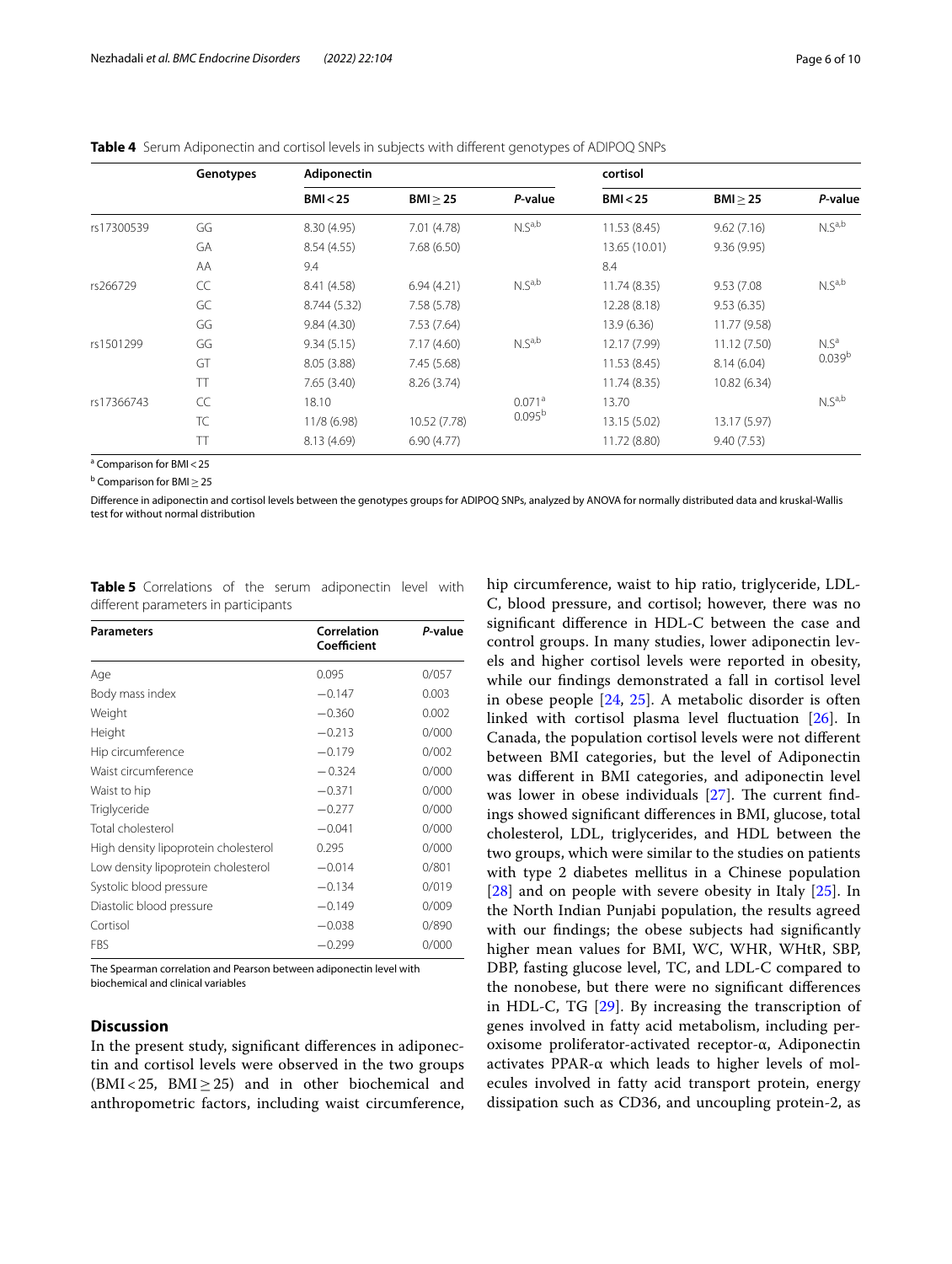<span id="page-5-0"></span>**Table 4** Serum Adiponectin and cortisol levels in subjects with diferent genotypes of ADIPOQ SNPs

|            | Genotypes | <b>Adiponectin</b> |              |                    | cortisol      |              |                    |
|------------|-----------|--------------------|--------------|--------------------|---------------|--------------|--------------------|
|            |           | BMI < 25           | BMI > 25     | P-value            | BMI < 25      | BMI > 25     | P-value            |
| rs17300539 | GG        | 8.30 (4.95)        | 7.01 (4.78)  | $N.S^{a,b}$        | 11.53(8.45)   | 9.62(7.16)   | $N.S^{a,b}$        |
|            | GA        | 8.54(4.55)         | 7.68(6.50)   |                    | 13.65 (10.01) | 9.36(9.95)   |                    |
|            | AA        | 9.4                |              |                    | 8.4           |              |                    |
| rs266729   | CC        | 8.41 (4.58)        | 6.94(4.21)   | N.S <sup>a,b</sup> | 11.74 (8.35)  | 9.53 (7.08)  | N.S <sup>a,b</sup> |
|            | GC        | 8.744 (5.32)       | 7.58(5.78)   |                    | 12.28 (8.18)  | 9.53(6.35)   |                    |
|            | GG        | 9.84(4.30)         | 7.53(7.64)   |                    | 13.9(6.36)    | 11.77 (9.58) |                    |
| rs1501299  | GG        | 9.34(5.15)         | 7.17(4.60)   | N.S <sup>a,b</sup> | 12.17 (7.99)  | 11.12 (7.50) | N.S <sup>a</sup>   |
|            | GT        | 8.05(3.88)         | 7.45(5.68)   |                    | 11.53 (8.45)  | 8.14(6.04)   | 0.039 <sup>b</sup> |
|            | TT        | 7.65(3.40)         | 8.26(3.74)   |                    | 11.74 (8.35)  | 10.82 (6.34) |                    |
| rs17366743 | CC        | 18.10              |              | 0.071a             | 13.70         |              | $N.S^{a,b}$        |
|            | TC        | 11/8(6.98)         | 10.52 (7.78) | 0.095 <sup>b</sup> | 13.15 (5.02)  | 13.17 (5.97) |                    |
|            | TT        | 8.13 (4.69)        | 6.90(4.77)   |                    | 11.72 (8.80)  | 9.40(7.53)   |                    |

<sup>a</sup> Comparison for BMI < 25

b Comparison for BMI≥25

Diference in adiponectin and cortisol levels between the genotypes groups for ADIPOQ SNPs, analyzed by ANOVA for normally distributed data and kruskal-Wallis test for without normal distribution

<span id="page-5-1"></span>

| Table 5 Correlations of the serum adiponectin level with |  |  |  |
|----------------------------------------------------------|--|--|--|
| different parameters in participants                     |  |  |  |

| <b>Parameters</b>                    | Correlation<br>Coefficient | P-value |
|--------------------------------------|----------------------------|---------|
| Age                                  | 0.095                      | 0/057   |
| Body mass index                      | $-0.147$                   | 0.003   |
| Weight                               | $-0.360$                   | 0.002   |
| Height                               | $-0.213$                   | 0/000   |
| Hip circumference                    | $-0.179$                   | 0/002   |
| Waist circumference                  | $-0.324$                   | 0/000   |
| Waist to hip                         | $-0.371$                   | 0/000   |
| Triglyceride                         | $-0.277$                   | 0/000   |
| Total cholesterol                    | $-0.041$                   | 0/000   |
| High density lipoprotein cholesterol | 0.295                      | 0/000   |
| Low density lipoprotein cholesterol  | $-0.014$                   | 0/801   |
| Systolic blood pressure              | $-0.134$                   | 0/019   |
| Diastolic blood pressure             | $-0.149$                   | 0/009   |
| Cortisol                             | $-0.038$                   | 0/890   |
| FBS                                  | $-0.299$                   | 0/000   |

The Spearman correlation and Pearson between adiponectin level with biochemical and clinical variables

# **Discussion**

In the present study, signifcant diferences in adiponectin and cortisol levels were observed in the two groups (BMI<25, BMI≥25) and in other biochemical and anthropometric factors, including waist circumference, hip circumference, waist to hip ratio, triglyceride, LDL-C, blood pressure, and cortisol; however, there was no signifcant diference in HDL-C between the case and control groups. In many studies, lower adiponectin levels and higher cortisol levels were reported in obesity, while our fndings demonstrated a fall in cortisol level in obese people [\[24](#page-8-23), [25](#page-8-24)]. A metabolic disorder is often linked with cortisol plasma level fuctuation [[26\]](#page-8-25). In Canada, the population cortisol levels were not diferent between BMI categories, but the level of Adiponectin was diferent in BMI categories, and adiponectin level was lower in obese individuals  $[27]$  $[27]$ . The current findings showed signifcant diferences in BMI, glucose, total cholesterol, LDL, triglycerides, and HDL between the two groups, which were similar to the studies on patients with type 2 diabetes mellitus in a Chinese population [[28\]](#page-8-27) and on people with severe obesity in Italy [[25\]](#page-8-24). In the North Indian Punjabi population, the results agreed with our fndings; the obese subjects had signifcantly higher mean values for BMI, WC, WHR, WHtR, SBP, DBP, fasting glucose level, TC, and LDL-C compared to the nonobese, but there were no signifcant diferences in HDL-C, TG [[29\]](#page-8-28). By increasing the transcription of genes involved in fatty acid metabolism, including peroxisome proliferator-activated receptor-α, Adiponectin activates PPAR-α which leads to higher levels of molecules involved in fatty acid transport protein, energy dissipation such as CD36, and uncoupling protein-2, as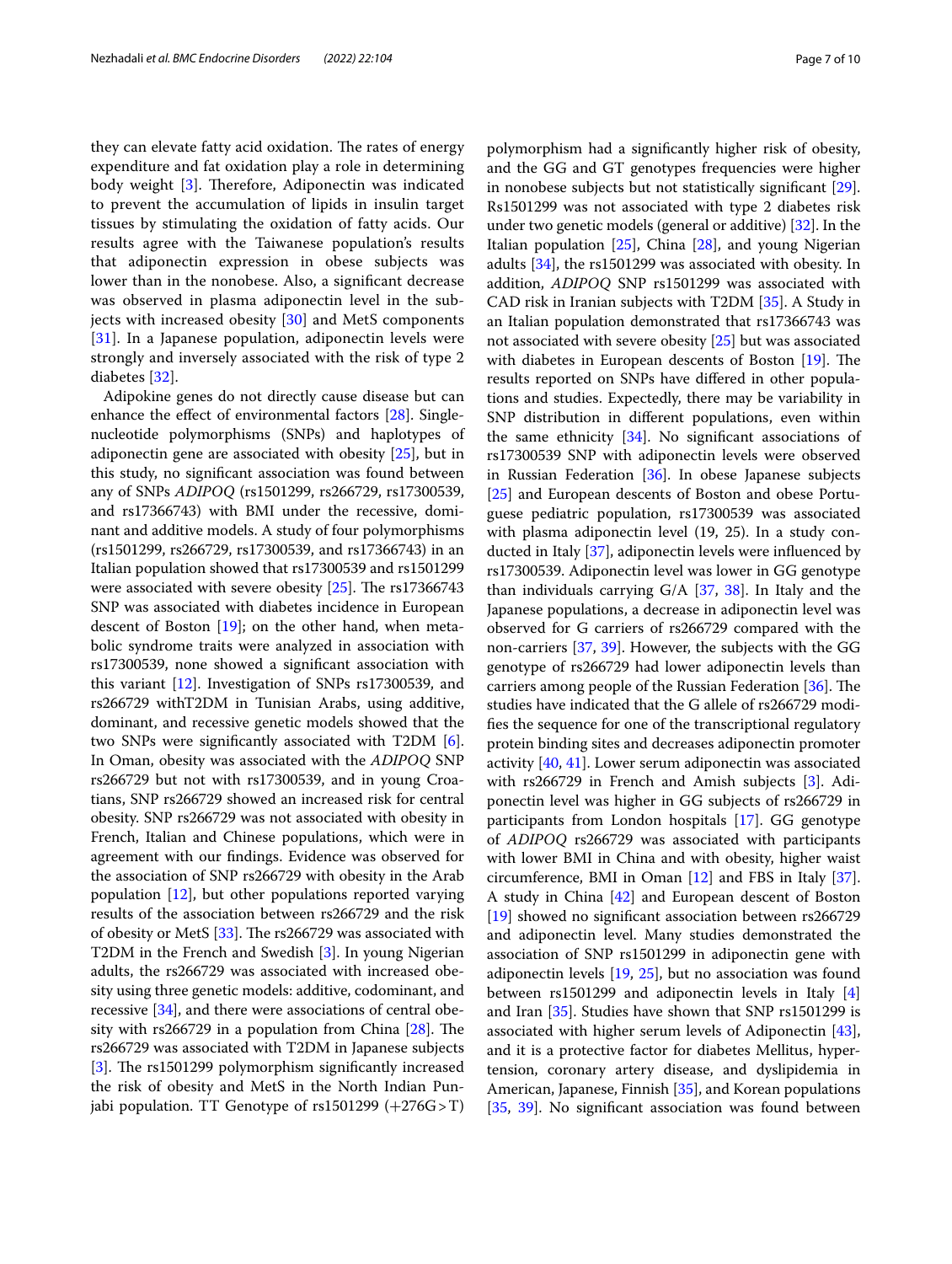they can elevate fatty acid oxidation. The rates of energy expenditure and fat oxidation play a role in determining body weight  $[3]$  $[3]$ . Therefore, Adiponectin was indicated to prevent the accumulation of lipids in insulin target tissues by stimulating the oxidation of fatty acids. Our results agree with the Taiwanese population's results that adiponectin expression in obese subjects was lower than in the nonobese. Also, a signifcant decrease was observed in plasma adiponectin level in the sub-jects with increased obesity [\[30](#page-8-29)] and MetS components [[31\]](#page-8-30). In a Japanese population, adiponectin levels were strongly and inversely associated with the risk of type 2 diabetes [\[32](#page-8-31)].

Adipokine genes do not directly cause disease but can enhance the effect of environmental factors [[28\]](#page-8-27). Singlenucleotide polymorphisms (SNPs) and haplotypes of adiponectin gene are associated with obesity [\[25](#page-8-24)], but in this study, no signifcant association was found between any of SNPs *ADIPOQ* (rs1501299, rs266729, rs17300539, and rs17366743) with BMI under the recessive, dominant and additive models. A study of four polymorphisms (rs1501299, rs266729, rs17300539, and rs17366743) in an Italian population showed that rs17300539 and rs1501299 were associated with severe obesity  $[25]$  $[25]$ . The rs17366743 SNP was associated with diabetes incidence in European descent of Boston [[19](#page-8-18)]; on the other hand, when metabolic syndrome traits were analyzed in association with rs17300539, none showed a signifcant association with this variant [[12](#page-8-11)]. Investigation of SNPs rs17300539, and rs266729 withT2DM in Tunisian Arabs, using additive, dominant, and recessive genetic models showed that the two SNPs were signifcantly associated with T2DM [\[6](#page-8-5)]. In Oman, obesity was associated with the *ADIPOQ* SNP rs266729 but not with rs17300539, and in young Croatians, SNP rs266729 showed an increased risk for central obesity. SNP rs266729 was not associated with obesity in French, Italian and Chinese populations, which were in agreement with our fndings. Evidence was observed for the association of SNP rs266729 with obesity in the Arab population  $[12]$  $[12]$  $[12]$ , but other populations reported varying results of the association between rs266729 and the risk of obesity or MetS  $[33]$  $[33]$  $[33]$ . The rs266729 was associated with T2DM in the French and Swedish [[3](#page-8-2)]. In young Nigerian adults, the rs266729 was associated with increased obesity using three genetic models: additive, codominant, and recessive [\[34](#page-8-33)], and there were associations of central obesity with  $rs266729$  in a population from China  $[28]$  $[28]$  $[28]$ . The rs266729 was associated with T2DM in Japanese subjects [[3\]](#page-8-2). The rs1501299 polymorphism significantly increased the risk of obesity and MetS in the North Indian Punjabi population. TT Genotype of rs1501299 (+276G>T)

polymorphism had a signifcantly higher risk of obesity, and the GG and GT genotypes frequencies were higher in nonobese subjects but not statistically signifcant [\[29](#page-8-28)]. Rs1501299 was not associated with type 2 diabetes risk under two genetic models (general or additive) [[32](#page-8-31)]. In the Italian population [[25](#page-8-24)], China [\[28](#page-8-27)], and young Nigerian adults [\[34\]](#page-8-33), the rs1501299 was associated with obesity. In addition, *ADIPOQ* SNP rs1501299 was associated with CAD risk in Iranian subjects with T2DM [[35](#page-8-34)]. A Study in an Italian population demonstrated that rs17366743 was not associated with severe obesity [[25](#page-8-24)] but was associated with diabetes in European descents of Boston  $[19]$  $[19]$ . The results reported on SNPs have difered in other populations and studies. Expectedly, there may be variability in SNP distribution in diferent populations, even within the same ethnicity  $[34]$ . No significant associations of rs17300539 SNP with adiponectin levels were observed in Russian Federation [[36\]](#page-8-35). In obese Japanese subjects [[25\]](#page-8-24) and European descents of Boston and obese Portuguese pediatric population, rs17300539 was associated with plasma adiponectin level (19, 25). In a study conducted in Italy [\[37\]](#page-8-36), adiponectin levels were infuenced by rs17300539. Adiponectin level was lower in GG genotype than individuals carrying G/A [[37](#page-8-36), [38](#page-8-37)]. In Italy and the Japanese populations, a decrease in adiponectin level was observed for G carriers of rs266729 compared with the non-carriers [\[37,](#page-8-36) [39\]](#page-8-38). However, the subjects with the GG genotype of rs266729 had lower adiponectin levels than carriers among people of the Russian Federation [[36\]](#page-8-35). The studies have indicated that the G allele of rs266729 modifes the sequence for one of the transcriptional regulatory protein binding sites and decreases adiponectin promoter activity [[40,](#page-8-39) [41](#page-8-40)]. Lower serum adiponectin was associated with rs266729 in French and Amish subjects [[3](#page-8-2)]. Adiponectin level was higher in GG subjects of rs266729 in participants from London hospitals [\[17](#page-8-16)]. GG genotype of *ADIPOQ* rs266729 was associated with participants with lower BMI in China and with obesity, higher waist circumference, BMI in Oman [[12](#page-8-11)] and FBS in Italy [\[37](#page-8-36)]. A study in China [[42](#page-9-0)] and European descent of Boston [[19\]](#page-8-18) showed no signifcant association between rs266729 and adiponectin level. Many studies demonstrated the association of SNP rs1501299 in adiponectin gene with adiponectin levels [[19](#page-8-18), [25](#page-8-24)], but no association was found between rs1501299 and adiponectin levels in Italy [[4](#page-8-3)] and Iran [[35\]](#page-8-34). Studies have shown that SNP rs1501299 is associated with higher serum levels of Adiponectin [\[43](#page-9-1)], and it is a protective factor for diabetes Mellitus, hypertension, coronary artery disease, and dyslipidemia in American, Japanese, Finnish [\[35\]](#page-8-34), and Korean populations [[35,](#page-8-34) [39\]](#page-8-38). No significant association was found between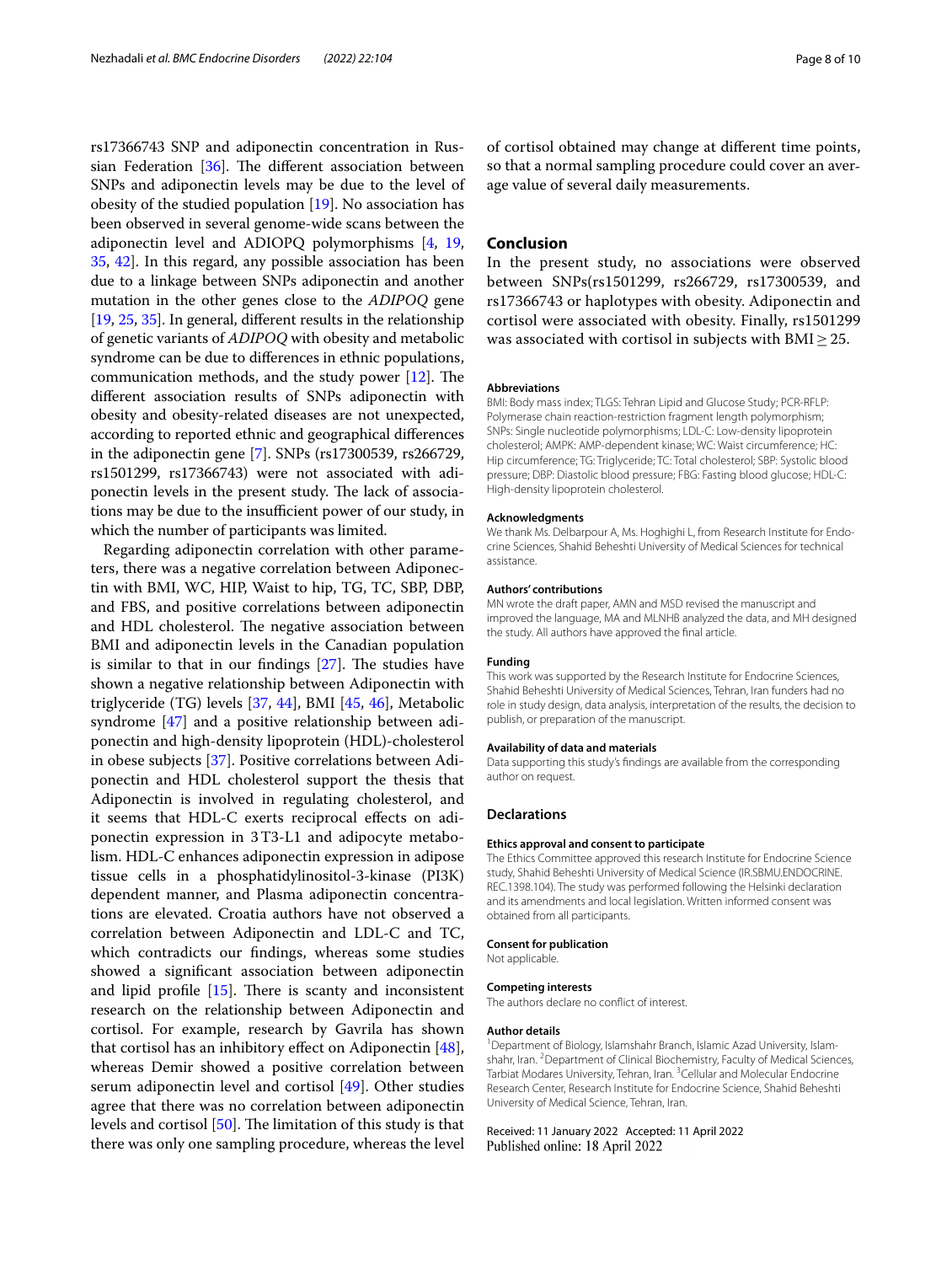rs17366743 SNP and adiponectin concentration in Russian Federation  $[36]$  $[36]$ . The different association between SNPs and adiponectin levels may be due to the level of obesity of the studied population [\[19](#page-8-18)]. No association has been observed in several genome-wide scans between the adiponectin level and ADIOPQ polymorphisms [[4,](#page-8-3) [19](#page-8-18), [35](#page-8-34), [42\]](#page-9-0). In this regard, any possible association has been due to a linkage between SNPs adiponectin and another mutation in the other genes close to the *ADIPOQ* gene [[19,](#page-8-18) [25,](#page-8-24) [35](#page-8-34)]. In general, diferent results in the relationship of genetic variants of *ADIPOQ* with obesity and metabolic syndrome can be due to diferences in ethnic populations, communication methods, and the study power  $[12]$  $[12]$ . The diferent association results of SNPs adiponectin with obesity and obesity-related diseases are not unexpected, according to reported ethnic and geographical diferences in the adiponectin gene [\[7](#page-8-6)]. SNPs (rs17300539, rs266729, rs1501299, rs17366743) were not associated with adiponectin levels in the present study. The lack of associations may be due to the insufficient power of our study, in which the number of participants was limited.

Regarding adiponectin correlation with other parameters, there was a negative correlation between Adiponectin with BMI, WC, HIP, Waist to hip, TG, TC, SBP, DBP, and FBS, and positive correlations between adiponectin and HDL cholesterol. The negative association between BMI and adiponectin levels in the Canadian population is similar to that in our findings  $[27]$ . The studies have shown a negative relationship between Adiponectin with triglyceride (TG) levels [\[37,](#page-8-36) [44\]](#page-9-2), BMI [[45,](#page-9-3) [46\]](#page-9-4), Metabolic syndrome [\[47](#page-9-5)] and a positive relationship between adiponectin and high-density lipoprotein (HDL)-cholesterol in obese subjects [[37\]](#page-8-36). Positive correlations between Adiponectin and HDL cholesterol support the thesis that Adiponectin is involved in regulating cholesterol, and it seems that HDL-C exerts reciprocal efects on adiponectin expression in 3T3-L1 and adipocyte metabolism. HDL-C enhances adiponectin expression in adipose tissue cells in a phosphatidylinositol-3-kinase (PI3K) dependent manner, and Plasma adiponectin concentrations are elevated. Croatia authors have not observed a correlation between Adiponectin and LDL-C and TC, which contradicts our fndings, whereas some studies showed a signifcant association between adiponectin and lipid profile  $[15]$  $[15]$ . There is scanty and inconsistent research on the relationship between Adiponectin and cortisol. For example, research by Gavrila has shown that cortisol has an inhibitory efect on Adiponectin [\[48](#page-9-6)], whereas Demir showed a positive correlation between serum adiponectin level and cortisol [[49](#page-9-7)]. Other studies agree that there was no correlation between adiponectin levels and cortisol  $[50]$  $[50]$ . The limitation of this study is that there was only one sampling procedure, whereas the level

of cortisol obtained may change at diferent time points, so that a normal sampling procedure could cover an average value of several daily measurements.

# **Conclusion**

In the present study, no associations were observed between SNPs(rs1501299, rs266729, rs17300539, and rs17366743 or haplotypes with obesity. Adiponectin and cortisol were associated with obesity. Finally, rs1501299 was associated with cortisol in subjects with  $\text{BMI} \geq 25$ .

### **Abbreviations**

BMI: Body mass index; TLGS: Tehran Lipid and Glucose Study; PCR-RFLP: Polymerase chain reaction-restriction fragment length polymorphism; SNPs: Single nucleotide polymorphisms; LDL-C: Low-density lipoprotein cholesterol; AMPK: AMP-dependent kinase; WC: Waist circumference; HC: Hip circumference; TG: Triglyceride; TC: Total cholesterol; SBP: Systolic blood pressure; DBP: Diastolic blood pressure; FBG: Fasting blood glucose; HDL-C: High-density lipoprotein cholesterol.

#### **Acknowledgments**

We thank Ms. Delbarpour A, Ms. Hoghighi L, from Research Institute for Endocrine Sciences, Shahid Beheshti University of Medical Sciences for technical assistance.

# **Authors' contributions**

MN wrote the draft paper, AMN and MSD revised the manuscript and improved the language, MA and MLNHB analyzed the data, and MH designed the study. All authors have approved the fnal article.

## **Funding**

This work was supported by the Research Institute for Endocrine Sciences, Shahid Beheshti University of Medical Sciences, Tehran, Iran funders had no role in study design, data analysis, interpretation of the results, the decision to publish, or preparation of the manuscript.

#### **Availability of data and materials**

Data supporting this study's fndings are available from the corresponding author on request.

#### **Declarations**

#### **Ethics approval and consent to participate**

The Ethics Committee approved this research Institute for Endocrine Science study, Shahid Beheshti University of Medical Science (IR.SBMU.ENDOCRINE. REC.1398.104). The study was performed following the Helsinki declaration and its amendments and local legislation. Written informed consent was obtained from all participants.

#### **Consent for publication**

Not applicable.

#### **Competing interests**

The authors declare no confict of interest.

#### **Author details**

<sup>1</sup> Department of Biology, Islamshahr Branch, Islamic Azad University, Islamshahr, Iran. <sup>2</sup> Department of Clinical Biochemistry, Faculty of Medical Sciences, Tarbiat Modares University, Tehran, Iran. <sup>3</sup> Cellular and Molecular Endocrine Research Center, Research Institute for Endocrine Science, Shahid Beheshti University of Medical Science, Tehran, Iran.

### Received: 11 January 2022 Accepted: 11 April 2022Published online: 18 April 2022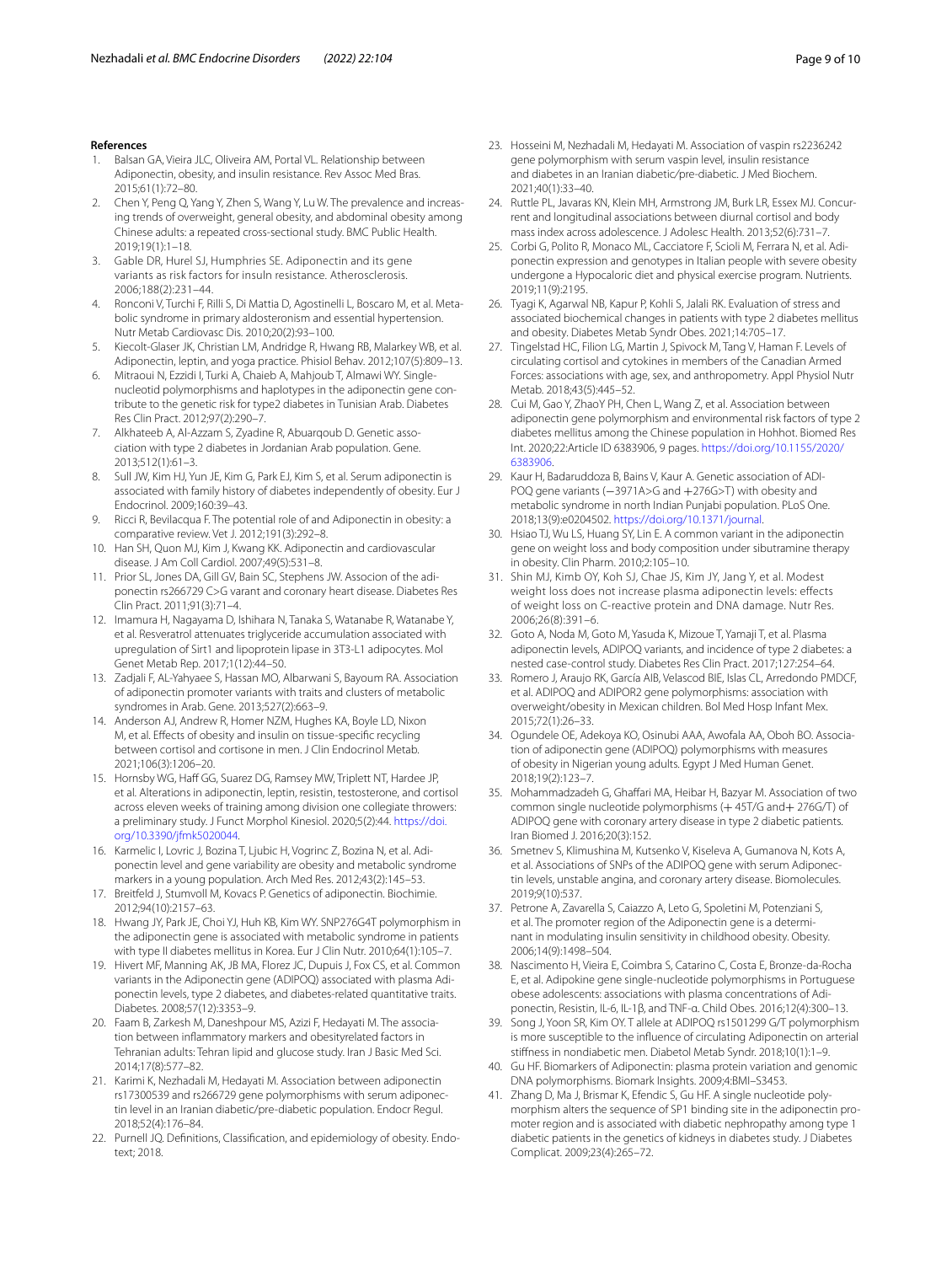## **References**

- <span id="page-8-0"></span>1. Balsan GA, Vieira JLC, Oliveira AM, Portal VL. Relationship between Adiponectin, obesity, and insulin resistance. Rev Assoc Med Bras. 2015;61(1):72–80.
- <span id="page-8-1"></span>2. Chen Y, Peng Q, Yang Y, Zhen S, Wang Y, Lu W. The prevalence and increasing trends of overweight, general obesity, and abdominal obesity among Chinese adults: a repeated cross-sectional study. BMC Public Health. 2019;19(1):1–18.
- <span id="page-8-2"></span>3. Gable DR, Hurel SJ, Humphries SE. Adiponectin and its gene variants as risk factors for insuln resistance. Atherosclerosis. 2006;188(2):231–44.
- <span id="page-8-3"></span>4. Ronconi V, Turchi F, Rilli S, Di Mattia D, Agostinelli L, Boscaro M, et al. Metabolic syndrome in primary aldosteronism and essential hypertension. Nutr Metab Cardiovasc Dis. 2010;20(2):93–100.
- <span id="page-8-4"></span>5. Kiecolt-Glaser JK, Christian LM, Andridge R, Hwang RB, Malarkey WB, et al. Adiponectin, leptin, and yoga practice. Phisiol Behav. 2012;107(5):809–13.
- <span id="page-8-5"></span>6. Mitraoui N, Ezzidi I, Turki A, Chaieb A, Mahjoub T, Almawi WY. Singlenucleotid polymorphisms and haplotypes in the adiponectin gene contribute to the genetic risk for type2 diabetes in Tunisian Arab. Diabetes Res Clin Pract. 2012;97(2):290–7.
- <span id="page-8-6"></span>7. Alkhateeb A, Al-Azzam S, Zyadine R, Abuarqoub D. Genetic association with type 2 diabetes in Jordanian Arab population. Gene. 2013;512(1):61–3.
- <span id="page-8-7"></span>8. Sull JW, Kim HJ, Yun JE, Kim G, Park EJ, Kim S, et al. Serum adiponectin is associated with family history of diabetes independently of obesity. Eur J Endocrinol. 2009;160:39–43.
- <span id="page-8-8"></span>9. Ricci R, Bevilacqua F. The potential role of and Adiponectin in obesity: a comparative review. Vet J. 2012;191(3):292–8.
- <span id="page-8-9"></span>10. Han SH, Quon MJ, Kim J, Kwang KK. Adiponectin and cardiovascular disease. J Am Coll Cardiol. 2007;49(5):531–8.
- <span id="page-8-10"></span>11. Prior SL, Jones DA, Gill GV, Bain SC, Stephens JW. Associon of the adiponectin rs266729 C>G varant and coronary heart disease. Diabetes Res Clin Pract. 2011;91(3):71–4.
- <span id="page-8-11"></span>12. Imamura H, Nagayama D, Ishihara N, Tanaka S, Watanabe R, Watanabe Y, et al. Resveratrol attenuates triglyceride accumulation associated with upregulation of Sirt1 and lipoprotein lipase in 3T3-L1 adipocytes. Mol Genet Metab Rep. 2017;1(12):44–50.
- <span id="page-8-12"></span>13. Zadjali F, AL-Yahyaee S, Hassan MO, Albarwani S, Bayoum RA. Association of adiponectin promoter variants with traits and clusters of metabolic syndromes in Arab. Gene. 2013;527(2):663–9.
- <span id="page-8-13"></span>14. Anderson AJ, Andrew R, Homer NZM, Hughes KA, Boyle LD, Nixon M, et al. Efects of obesity and insulin on tissue-specifc recycling between cortisol and cortisone in men. J Clin Endocrinol Metab. 2021;106(3):1206–20.
- <span id="page-8-14"></span>15. Hornsby WG, Haff GG, Suarez DG, Ramsey MW, Triplett NT, Hardee JP, et al. Alterations in adiponectin, leptin, resistin, testosterone, and cortisol across eleven weeks of training among division one collegiate throwers: a preliminary study. J Funct Morphol Kinesiol. 2020;5(2):44. [https://doi.](https://doi.org/10.3390/jfmk5020044) [org/10.3390/jfmk5020044.](https://doi.org/10.3390/jfmk5020044)
- <span id="page-8-15"></span>16. Karmelic I, Lovric J, Bozina T, Ljubic H, Vogrinc Z, Bozina N, et al. Adiponectin level and gene variability are obesity and metabolic syndrome markers in a young population. Arch Med Res. 2012;43(2):145–53.
- <span id="page-8-16"></span>17. Breitfeld J, Stumvoll M, Kovacs P. Genetics of adiponectin. Biochimie. 2012;94(10):2157–63.
- <span id="page-8-17"></span>18. Hwang JY, Park JE, Choi YJ, Huh KB, Kim WY. SNP276G4T polymorphism in the adiponectin gene is associated with metabolic syndrome in patients with type II diabetes mellitus in Korea. Eur J Clin Nutr. 2010;64(1):105–7.
- <span id="page-8-18"></span>19. Hivert MF, Manning AK, JB MA, Florez JC, Dupuis J, Fox CS, et al. Common variants in the Adiponectin gene (ADIPOQ) associated with plasma Adiponectin levels, type 2 diabetes, and diabetes-related quantitative traits. Diabetes. 2008;57(12):3353–9.
- <span id="page-8-19"></span>20. Faam B, Zarkesh M, Daneshpour MS, Azizi F, Hedayati M. The association between infammatory markers and obesityrelated factors in Tehranian adults: Tehran lipid and glucose study. Iran J Basic Med Sci. 2014;17(8):577–82.
- <span id="page-8-20"></span>21. Karimi K, Nezhadali M, Hedayati M. Association between adiponectin rs17300539 and rs266729 gene polymorphisms with serum adiponectin level in an Iranian diabetic/pre-diabetic population. Endocr Regul. 2018;52(4):176–84.
- <span id="page-8-21"></span>22. Purnell JQ. Definitions, Classification, and epidemiology of obesity. Endotext; 2018.
- <span id="page-8-22"></span>23. Hosseini M, Nezhadali M, Hedayati M. Association of vaspin rs2236242 gene polymorphism with serum vaspin level*,* insulin resistance and diabetes in an Iranian diabetic*/*pre*-*diabetic. J Med Biochem. 2021;40(1):33–40.
- <span id="page-8-23"></span>24. Ruttle PL, Javaras KN, Klein MH, Armstrong JM, Burk LR, Essex MJ. Concurrent and longitudinal associations between diurnal cortisol and body mass index across adolescence. J Adolesc Health. 2013;52(6):731–7.
- <span id="page-8-24"></span>25. Corbi G, Polito R, Monaco ML, Cacciatore F, Scioli M, Ferrara N, et al. Adiponectin expression and genotypes in Italian people with severe obesity undergone a Hypocaloric diet and physical exercise program. Nutrients. 2019;11(9):2195.
- <span id="page-8-25"></span>26. Tyagi K, Agarwal NB, Kapur P, Kohli S, Jalali RK. Evaluation of stress and associated biochemical changes in patients with type 2 diabetes mellitus and obesity. Diabetes Metab Syndr Obes. 2021;14:705–17.
- <span id="page-8-26"></span>27. Tingelstad HC, Filion LG, Martin J, Spivock M, Tang V, Haman F. Levels of circulating cortisol and cytokines in members of the Canadian Armed Forces: associations with age, sex, and anthropometry. Appl Physiol Nutr Metab. 2018;43(5):445–52.
- <span id="page-8-27"></span>28. Cui M, Gao Y, ZhaoY PH, Chen L, Wang Z, et al. Association between adiponectin gene polymorphism and environmental risk factors of type 2 diabetes mellitus among the Chinese population in Hohhot. Biomed Res Int. 2020;22:Article ID 6383906, 9 pages. [https://doi.org/10.1155/2020/](https://doi.org/10.1155/2020/6383906) [6383906](https://doi.org/10.1155/2020/6383906).
- <span id="page-8-28"></span>29. Kaur H, Badaruddoza B, Bains V, Kaur A. Genetic association of ADI-POQ gene variants (-3971A>G and +276G>T) with obesity and metabolic syndrome in north Indian Punjabi population. PLoS One. 2018;13(9):e0204502. [https://doi.org/10.1371/journal.](https://doi.org/10.1371/journal)
- <span id="page-8-29"></span>30. Hsiao TJ, Wu LS, Huang SY, Lin E. A common variant in the adiponectin gene on weight loss and body composition under sibutramine therapy in obesity. Clin Pharm. 2010;2:105–10.
- <span id="page-8-30"></span>31. Shin MJ, Kimb OY, Koh SJ, Chae JS, Kim JY, Jang Y, et al. Modest weight loss does not increase plasma adiponectin levels: effects of weight loss on C-reactive protein and DNA damage. Nutr Res. 2006;26(8):391–6.
- <span id="page-8-31"></span>32. Goto A, Noda M, Goto M, Yasuda K, Mizoue T, Yamaji T, et al. Plasma adiponectin levels, ADIPOQ variants, and incidence of type 2 diabetes: a nested case-control study. Diabetes Res Clin Pract. 2017;127:254–64.
- <span id="page-8-32"></span>33. Romero J, Araujo RK, García AIB, Velascod BIE, Islas CL, Arredondo PMDCF, et al. ADIPOQ and ADIPOR2 gene polymorphisms: association with overweight/obesity in Mexican children. Bol Med Hosp Infant Mex. 2015;72(1):26–33.
- <span id="page-8-33"></span>34. Ogundele OE, Adekoya KO, Osinubi AAA, Awofala AA, Oboh BO. Association of adiponectin gene (ADIPOQ) polymorphisms with measures of obesity in Nigerian young adults. Egypt J Med Human Genet. 2018;19(2):123–7.
- <span id="page-8-34"></span>35. Mohammadzadeh G, Ghaffari MA, Heibar H, Bazyar M. Association of two common single nucleotide polymorphisms (+45T/G and+276G/T) of ADIPOQ gene with coronary artery disease in type 2 diabetic patients. Iran Biomed J. 2016;20(3):152.
- <span id="page-8-35"></span>36. Smetnev S, Klimushina M, Kutsenko V, Kiseleva A, Gumanova N, Kots A, et al. Associations of SNPs of the ADIPOQ gene with serum Adiponectin levels, unstable angina, and coronary artery disease. Biomolecules. 2019;9(10):537.
- <span id="page-8-36"></span>37. Petrone A, Zavarella S, Caiazzo A, Leto G, Spoletini M, Potenziani S, et al. The promoter region of the Adiponectin gene is a determinant in modulating insulin sensitivity in childhood obesity. Obesity. 2006;14(9):1498–504.
- <span id="page-8-37"></span>38. Nascimento H, Vieira E, Coimbra S, Catarino C, Costa E, Bronze-da-Rocha E, et al. Adipokine gene single-nucleotide polymorphisms in Portuguese obese adolescents: associations with plasma concentrations of Adi‑ ponectin, Resistin, IL-6, IL-1β, and TNF-α. Child Obes. 2016;12(4):300–13.
- <span id="page-8-38"></span>39. Song J, Yoon SR, Kim OY. T allele at ADIPOQ rs1501299 G/T polymorphism is more susceptible to the infuence of circulating Adiponectin on arterial stifness in nondiabetic men. Diabetol Metab Syndr. 2018;10(1):1–9.
- <span id="page-8-39"></span>40. Gu HF. Biomarkers of Adiponectin: plasma protein variation and genomic DNA polymorphisms. Biomark Insights. 2009;4:BMI–S3453.
- <span id="page-8-40"></span>41. Zhang D, Ma J, Brismar K, Efendic S, Gu HF. A single nucleotide polymorphism alters the sequence of SP1 binding site in the adiponectin promoter region and is associated with diabetic nephropathy among type 1 diabetic patients in the genetics of kidneys in diabetes study. J Diabetes Complicat. 2009;23(4):265–72.